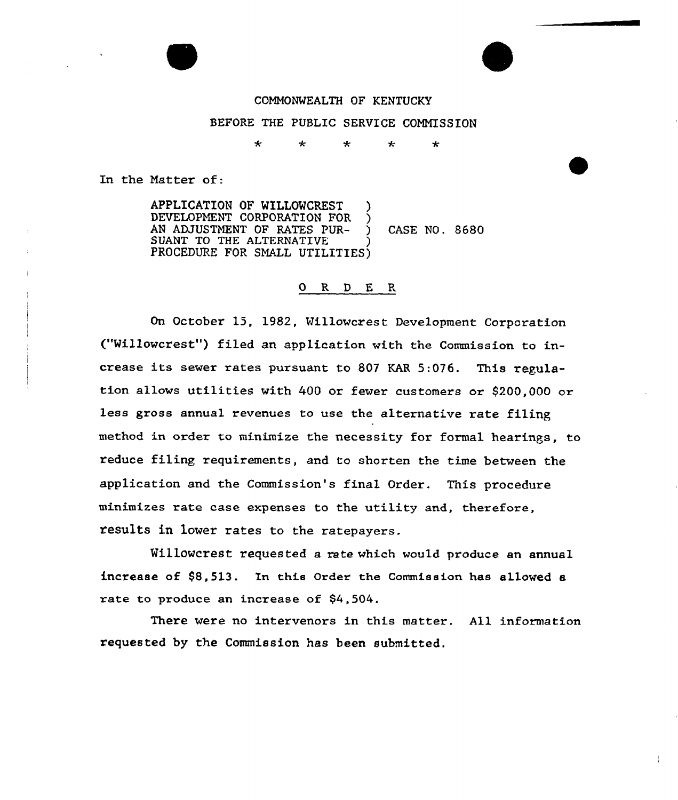

### CONNONWEALTH OF KENTUCKY

### BEFORE THE PUBLIC SERVICE COMMISSION

 $\star$ ÷ جاد  $\star$ ماره

In the Natter of:

APPLICATION OF WILLOWCREST DEVELOPMENT CORPORATION FOR AN ADJUSTMENT OF RATES PUR- ) CASE NO. 8680 SUANT TO THE ALTERNATIVE )<br>PROGEDURE FOR OMALL UTILITIES PROCEDURE FOR SMALL UTILITIES)

#### 0 R <sup>D</sup> E R

On October 15, 1982, Willowcrest Development Corporation ("Willowcrest") filed an application with the Commission to increase its sewer rates pursuant to <sup>807</sup> KAR 5:076. This regulation allovs utilities vith 400 or fewer customers or \$200,000 or less gross annual revenues to use the alternative rate filing method in order to minimize the necessity for formal hearings, to reduce filing requirements, and to shorten the time between the application and the Commission's final Order. This procedure minimizes rate case expenses to the utility and, therefore, results in lover rates to the ratepayers.

Willowcrest requested a rate which would produce an annual increase of \$8,513. In this Order the Commission has allowed a rate to produce an increase of  $$4,504$ .

There vere no intervenors in this matter. All information requested by the Commission has been submitted.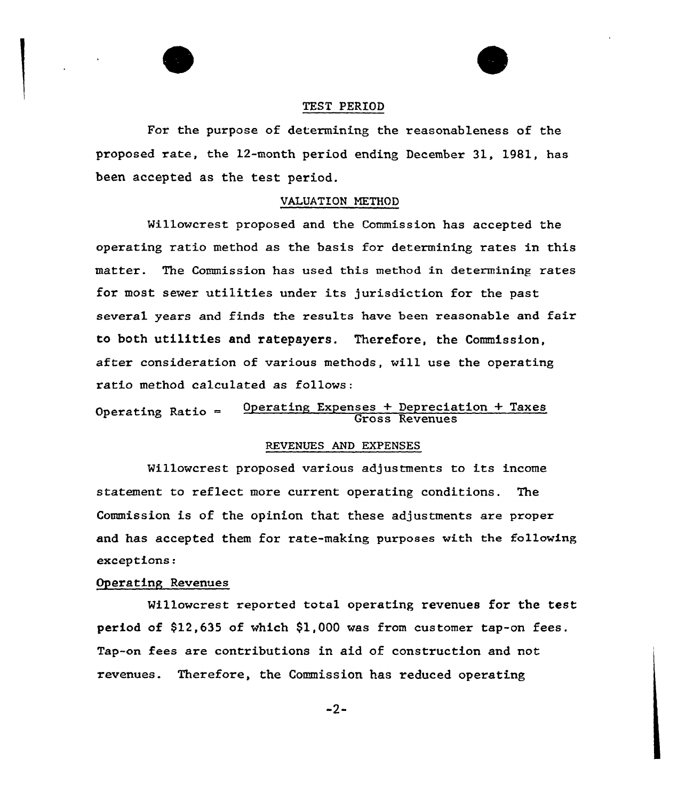#### TEST PERIOD

For the purpose of determining the reasonableness of the proposed rate, the 12-month period ending December 31, 1981, has been accepted as the test period.

## VALUATION NETHOD

Millowcrest proposed and the Commission has accepted the operating ratio method as the basis for determining rates in this matter. The Commission has used this method in determining rates for most sewer utilities under its jurisdiction for the past several years and finds the results have been reasonable and fair to both utilities and ratepayers. Therefore, the Commission, after consideration of various methods, will use the operating ratio method calculated as follows:

Operating Ratio = 00 Derating Expenses + Depreciation + Taxes

### REVENUES AND EXPENSES

Millowcrest proposed various adjustments to its income statement to reflect more current operating conditions. The Commission is of the opinion that these adjustments are proper and has accepted them for rate-making purposes with the following exceptions:

#### Operating Revenues

Millowcrest reported total operating revenues for the test period of \$12,635 of which \$1,000 was from customer tap-on fees. Tap-on fees are contributions in aid of construction and not revenues. Therefore, the Commission has reduced operating

 $-2-$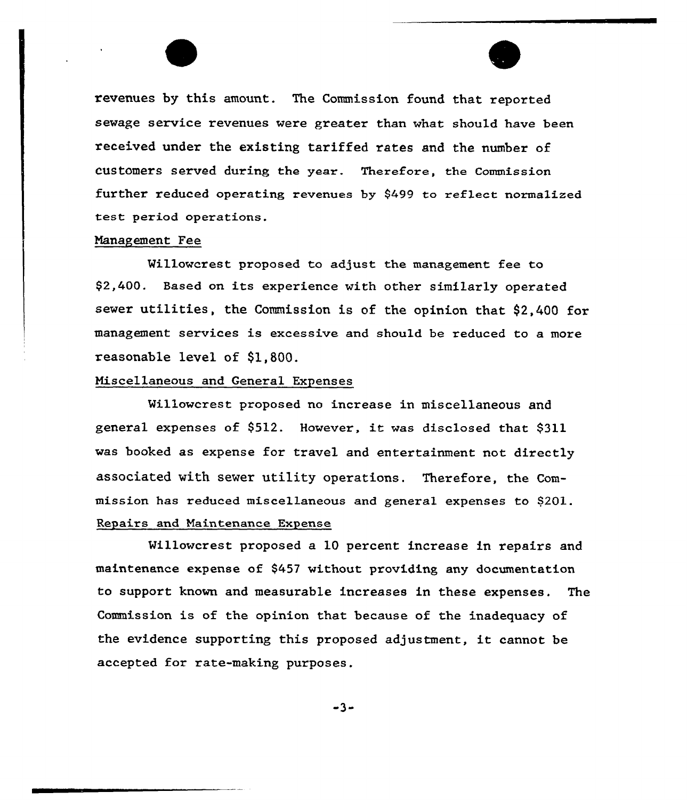revenues by this amount. The Commission found that reported sewage service revenues were greater than what should have been received under the existing tariffed rates and the number of customers served during the year. Therefore, the commission further reduced operating revenues by 9499 to reflect normalized test period operations.

 $\overline{\phantom{a}}$ 

F

#### Nanagement Fee

Willowcrest proposed to adjust the management fee to \$2,400. Based on its experience with other similarly operated sewer utilities, the Commission is of the opinion that \$2,400 for management services is excessive and should be reduced to a more reasonable level of \$1,800.

### Hiscellaneous and General Expenses

Willowcrest proposed no increase in miscellaneous and general expenses of \$512. However, it was disclosed that \$311 was booked as expense for travel and entertainment not directly associated with sever utility operations. Therefore, the Commission has reduced miscellaneous and general expenses to S201. Repairs and Maintenance Expense

Millowcrest proposed a 10 percent increase in repairs and maintenance expense of \$457 without providing any documentation to support known and measurable increases in these expenses. The Commission is of the opinion that because of the inadequacy of the evidence supporting this proposed adjustment, it cannot be accepted for rate-making purposes.

 $-3-$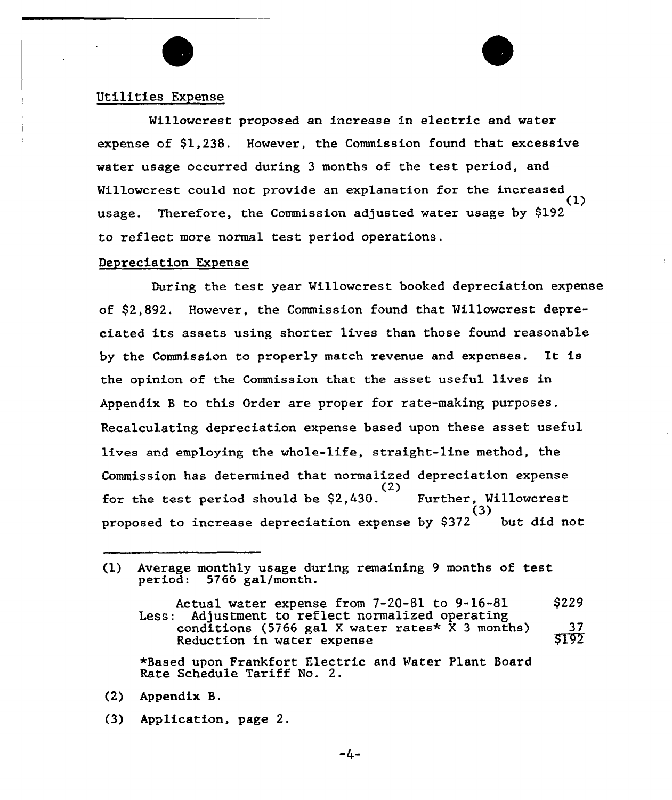### Utilities Expense

Willowcrest proposed an increase in electric and water expense of \$1,238. However, the Commission found that excessive water usage occurred during 3 months of the test period, and Willowcrest could not provide an explanation for the increased (1) usage. Therefore, the Commission adjusted water usage by \$192 to reflect more normal test period

### Depreciation Expense

During the test year Millowcrest booked depreciation expense of \$2,892. However, the Commission found that Willowcrest depreciated its assets using shorter lives than those found reasonable by the Commission to properly match revenue and expenses. It is the opinion of the Commission that the asset useful lives in Appendix B to this Order are proper for rate-making purposes. Recalculating depreciation expense based upon these asset useful lives and employing the whole-life, straight-line method, the Commission has determined that normalized depreciation expense (2) for the test period should be \$2,430. Further, Willowcrest  $\ddot{(}3\dot{)}$ proposed to increase depreciation expense by  $$372$  but did not

\*Based upon Frankfort Electric and Water Plant Board Rate Schedule Tariff No. Z.

- (2) Appendix B.
- (3} Application, page 2.

<sup>(1)</sup> Average monthly usage during remaining <sup>9</sup> months of test period: 5766 gal/month.

Actual water expense from 7-20-81 to 9-16-81<br>Less: Adjustment to reflect normalized operating Adjustment to reflect normalized operating conditions (5766 gal X water rates\*  $\bar{X}$  3 months) Reduction in water expense \$229 37 \$ 192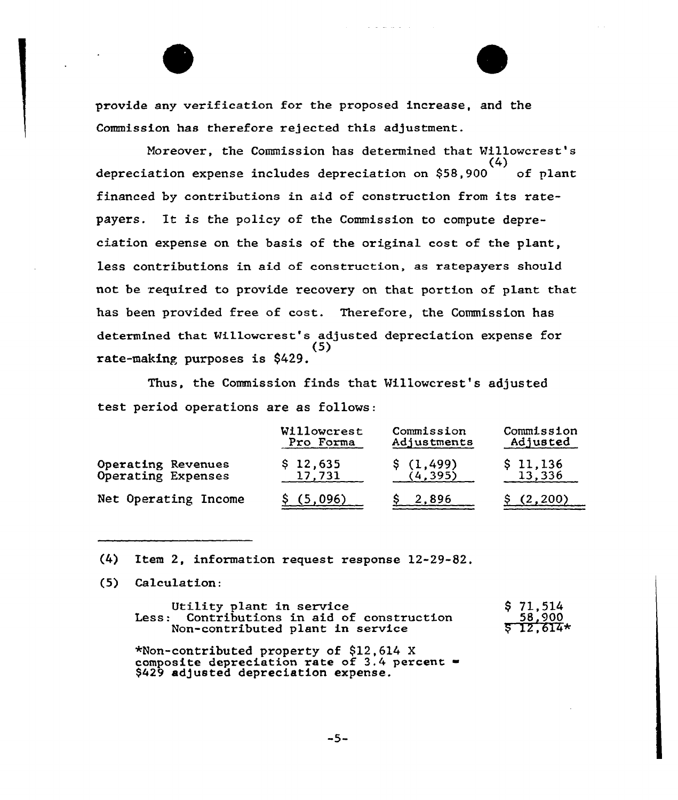provide any verification for the proposed increase, and the Commission has therefore rejected this adjustment.

Moreover, the Commission has determined that Willowcrest's  $(4)$ depreciation expense includes depreciation on  $$58,900$  of plant financed by contributions in aid of construction from its ratepayers. It is the policy of the Commission to compute depreciation expense on the basis of the original cost of the plant, less contributions in aid of construction, as ratepayers should not be required to provide recovery on that portion of plant that has been provided free of cost. Therefore, the Commission has determined that Millowcrest's adjusted depreciation expense for (5) rate-making purposes is \$429.

Thus, the Commission finds that Villowcrest's adjusted test period operations are as follows:

|                      | Willowcrest | Commission  | Commission |  |
|----------------------|-------------|-------------|------------|--|
|                      | Pro Forma   | Adjustments | Adjusted   |  |
| Operating Revenues   | \$12,635    | \$(1,499)   | \$11,136   |  |
| Operating Expenses   | 17,731      | (4, 395)    | 13,336     |  |
| Net Operating Income | (5,096)     | 2,896       | (2, 200)   |  |

(4) Item 2, information request response 12-29-82.

(5) Calculation:

| Utility plant in service                   | \$71,514               |
|--------------------------------------------|------------------------|
| Less: Contributions in aid of construction | $58,900$<br>$$12,614*$ |
| Non-contributed plant in service           |                        |

\*Non-contributed property of \$12,614 X Anon-concributed property of 412,014 A \$429 adjusted depreciation expense.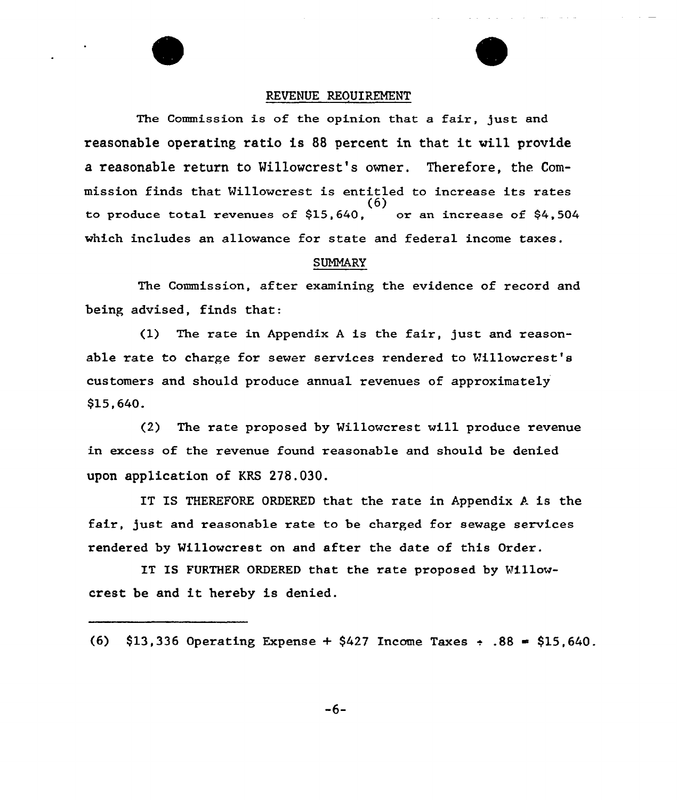#### REVENUE REOUIREMENT

فالمتعاد المتفاد المرادين والمتالي

The Commission is of the opinion that a fair, just and reasonable operating ratio is <sup>88</sup> percent in that it will provide a reasonable return to Willowcrest's owner. Therefore, the Commission finds that Willowcrest is entitled to increase its rates  $(6)$  or an increase of \$4,504 to produce total revenues of  $$15,640$ , which includes an allowance for state and federal income taxes.

#### SUMMARY

The Commission, after examining the evidence of record and being advised, finds that:

(1) The rate in Appendix <sup>A</sup> is the fair, just and reasonable rate to charge for sewer services rendered to Willowcrest's customers and should produce annual revenues of approximately \$15,640.

(2) The rate proposed by Willowcrest will produce revenue in excess of the revenue found reasonable and should be denied upon application of KRS 278.030.

IT IS THEREFORE ORDERED that the rate in Appendix  $A$  is the fair, just and reasonable rate to be charged for sewage services rendered by Willowcrest on and after the date of this Order.

IT IS FURTHER ORDERED that the rate proposed by Willowcrest be and it hereby is denied.

<sup>(6)</sup>  $$13,336$  Operating Expense +  $$427$  Income Taxes + .88 =  $$15,640$ .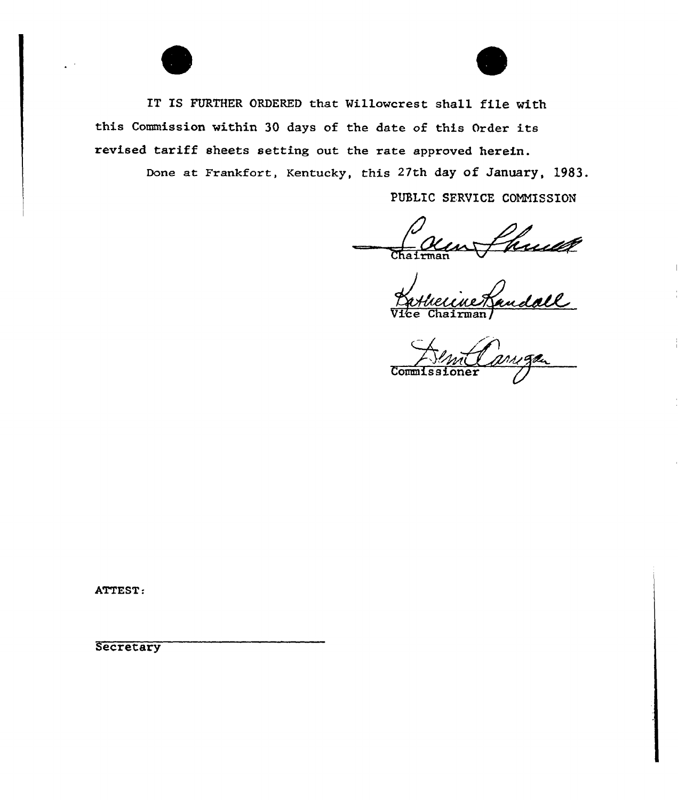

IT IS FURTHER ORDERED that Willowcrest shall file with this Commission vithin 30 days of the date of this Order its revised tariff sheets setting out the rate approved herein.

Done at Frankfort, Kentucky, this 27th day of January, 1983.

PUBLIC SERVICE COMMISSION

Shund 1

 $\overline{\text{Comm}}$ 

ATTEST:

**Secretary**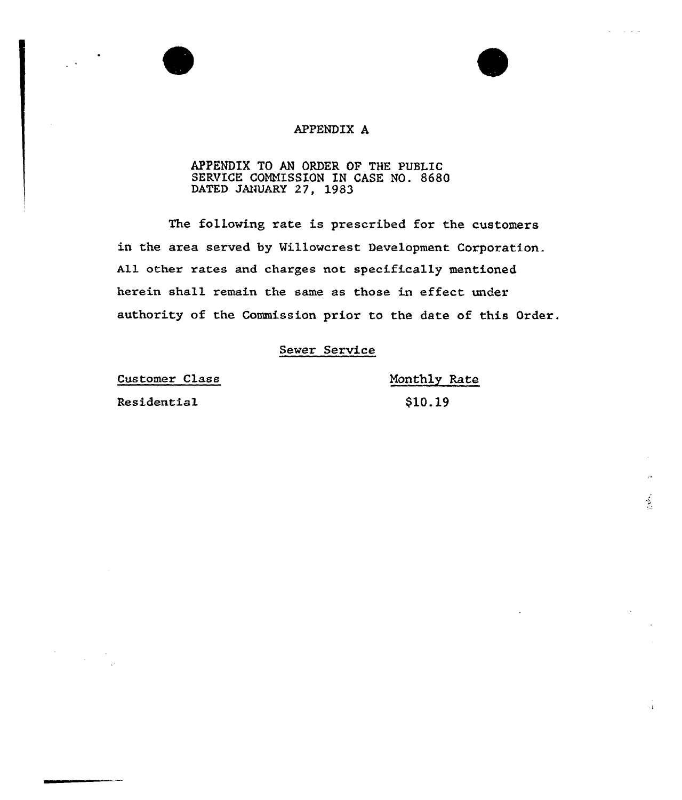# APPENDIX A

### APPENDIX TO AN ORDER OP THE PUSLIC SERVICE COMNISSION IN CASE NO. 8680 DATED JANUARY 27, 1983

The following rate is prescribed for the customers in the area served by Willowcrest Development Corporation. All other rates and charges not specifically mentioned herein shall remain the same as those in effect under authority of the Commission prior to the date of this Oxder.

## Sewer Service

Customer Class

Residential

Monthly Rate \$10.19

 $\frac{1}{2}$ 

 $\sim 1$ 

**Contract Contract**